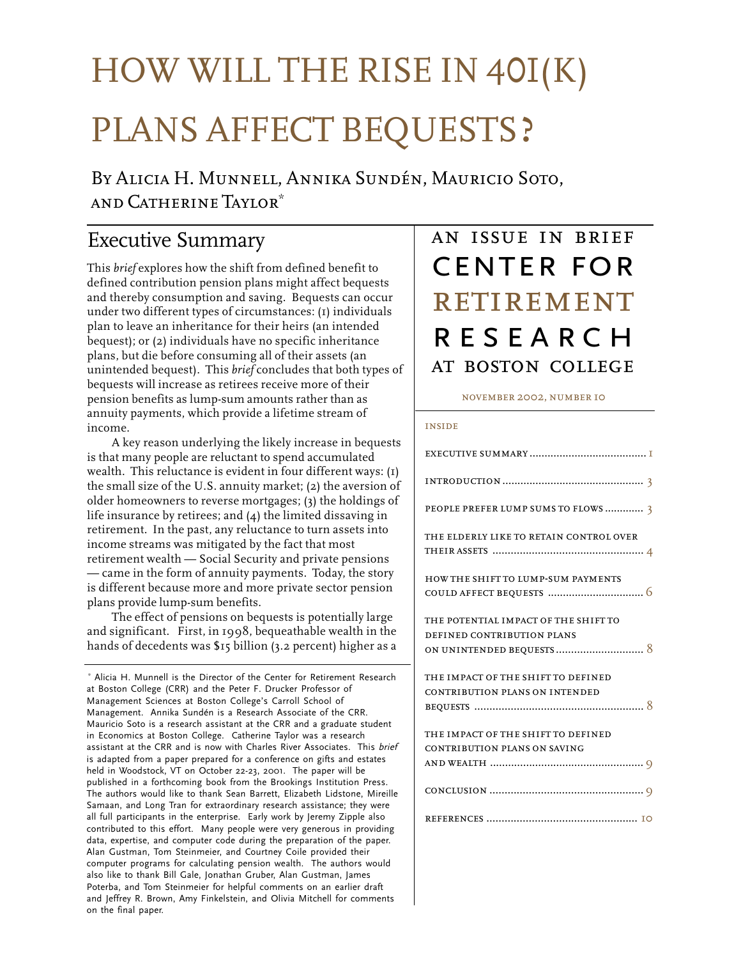# HOW WILL THE RISE IN 40I(K) PLANS AFFECT BEQUESTS?

By Alicia H. Munnell, Annika Sundén, Mauricio Soto, and Catherine Taylor\*

## Executive Summary

This *brief* explores how the shift from defined benefit to defined contribution pension plans might affect bequests and thereby consumption and saving. Bequests can occur under two different types of circumstances: (1) individuals plan to leave an inheritance for their heirs (an intended bequest); or (2) individuals have no specific inheritance plans, but die before consuming all of their assets (an unintended bequest). This *brief* concludes that both types of bequests will increase as retirees receive more of their pension benefits as lump-sum amounts rather than as annuity payments, which provide a lifetime stream of income.

A key reason underlying the likely increase in bequests is that many people are reluctant to spend accumulated wealth. This reluctance is evident in four different ways: (1) the small size of the U.S. annuity market; (2) the aversion of older homeowners to reverse mortgages; (3) the holdings of life insurance by retirees; and (4) the limited dissaving in retirement. In the past, any reluctance to turn assets into income streams was mitigated by the fact that most retirement wealth — Social Security and private pensions — came in the form of annuity payments. Today, the story is different because more and more private sector pension plans provide lump-sum benefits.

The effect of pensions on bequests is potentially large and significant. First, in 1998, bequeathable wealth in the hands of decedents was \$15 billion (3.2 percent) higher as a

# an issue in brief center for at boston college **RESEARCH RETIREMENT**

#### november 2002, number 10

#### inside

| PEOPLE PREFER LUMP SUMS TO FLOWS  3                                         |
|-----------------------------------------------------------------------------|
| THE ELDERLY LIKE TO RETAIN CONTROL OVER                                     |
| HOW THE SHIFT TO LUMP-SUM PAYMENTS                                          |
| THE POTENTIAL IMPACT OF THE SHIFT TO<br>DEFINED CONTRIBUTION PLANS          |
| THE IMPACT OF THE SHIFT TO DEFINED<br><b>CONTRIBUTION PLANS ON INTENDED</b> |
| THE IMPACT OF THE SHIFT TO DEFINED<br><b>CONTRIBUTION PLANS ON SAVING</b>   |
|                                                                             |
|                                                                             |

 <sup>\*</sup> Alicia H. Munnell is the Director of the Center for Retirement Research at Boston College (CRR) and the Peter F. Drucker Professor of Management Sciences at Boston College's Carroll School of Management. Annika Sundén is a Research Associate of the CRR. Mauricio Soto is a research assistant at the CRR and a graduate student in Economics at Boston College. Catherine Taylor was a research assistant at the CRR and is now with Charles River Associates. This brief is adapted from a paper prepared for a conference on gifts and estates held in Woodstock, VT on October 22-23, 2001. The paper will be published in a forthcoming book from the Brookings Institution Press. The authors would like to thank Sean Barrett, Elizabeth Lidstone, Mireille Samaan, and Long Tran for extraordinary research assistance; they were all full participants in the enterprise. Early work by Jeremy Zipple also contributed to this effort. Many people were very generous in providing data, expertise, and computer code during the preparation of the paper. Alan Gustman, Tom Steinmeier, and Courtney Coile provided their computer programs for calculating pension wealth. The authors would also like to thank Bill Gale, Jonathan Gruber, Alan Gustman, James Poterba, and Tom Steinmeier for helpful comments on an earlier draft and Jeffrey R. Brown, Amy Finkelstein, and Olivia Mitchell for comments on the final paper.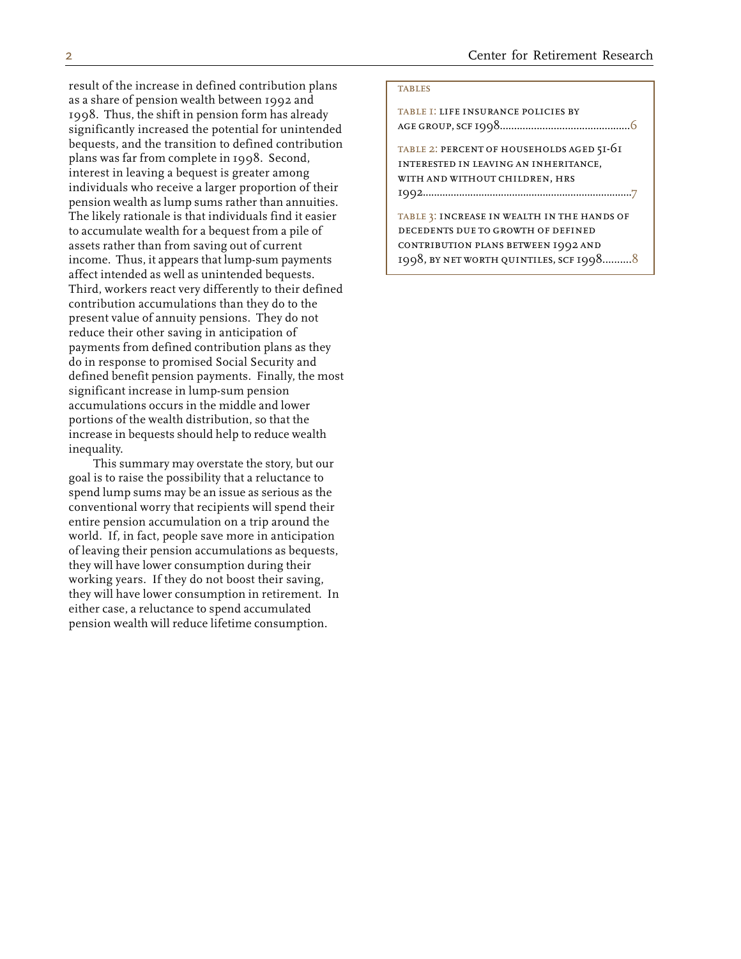result of the increase in defined contribution plans as a share of pension wealth between 1992 and 1998. Thus, the shift in pension form has already significantly increased the potential for unintended bequests, and the transition to defined contribution plans was far from complete in 1998. Second, interest in leaving a bequest is greater among individuals who receive a larger proportion of their pension wealth as lump sums rather than annuities. The likely rationale is that individuals find it easier to accumulate wealth for a bequest from a pile of assets rather than from saving out of current income. Thus, it appears that lump-sum payments affect intended as well as unintended bequests. Third, workers react very differently to their defined contribution accumulations than they do to the present value of annuity pensions. They do not reduce their other saving in anticipation of payments from defined contribution plans as they do in response to promised Social Security and defined benefit pension payments. Finally, the most significant increase in lump-sum pension accumulations occurs in the middle and lower portions of the wealth distribution, so that the increase in bequests should help to reduce wealth inequality.

This summary may overstate the story, but our goal is to raise the possibility that a reluctance to spend lump sums may be an issue as serious as the conventional worry that recipients will spend their entire pension accumulation on a trip around the world. If, in fact, people save more in anticipation of leaving their pension accumulations as bequests, they will have lower consumption during their working years. If they do not boost their saving, they will have lower consumption in retirement. In either case, a reluctance to spend accumulated pension wealth will reduce lifetime consumption.

#### **TABLES**

table 1: life insurance policies by age group, scf 1998..............................................6

table 2: percent of households aged 51-61 interested in leaving an inheritance, with and without children, hrs 1992...........................................................................7

table 3: increase in wealth in the hands of decedents due to growth of defined contribution plans between 1992 and 1998, by net worth quintiles, scf 1998..........8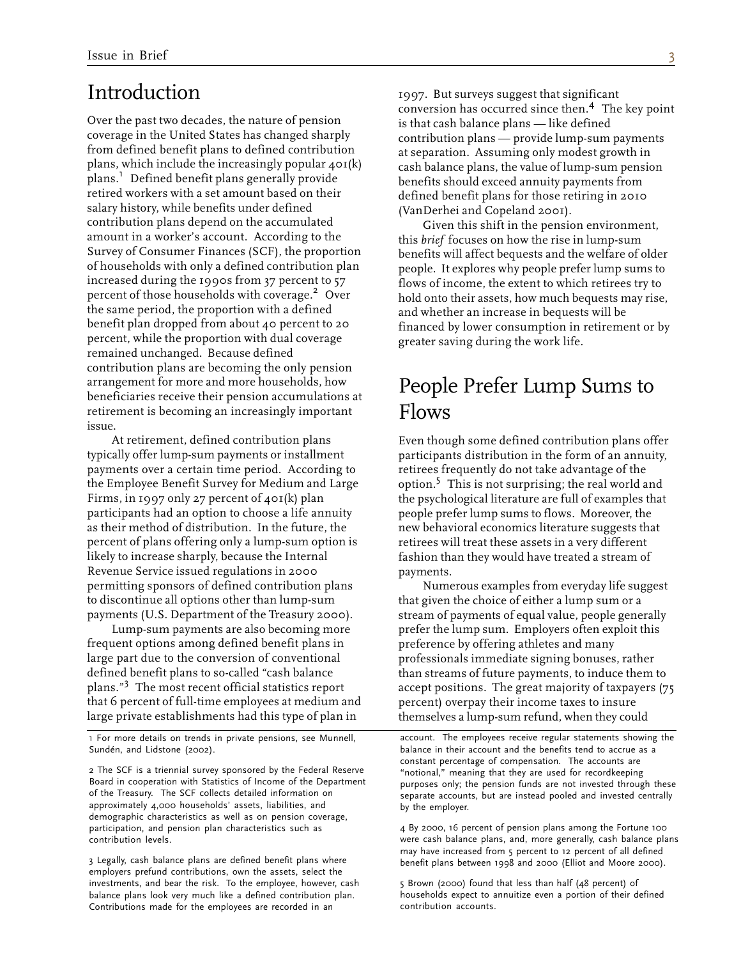#### Introduction

Over the past two decades, the nature of pension coverage in the United States has changed sharply from defined benefit plans to defined contribution plans, which include the increasingly popular  $401(k)$  plans.<sup>1</sup> Defined benefit plans generally provide retired workers with a set amount based on their salary history, while benefits under defined contribution plans depend on the accumulated amount in a worker's account. According to the Survey of Consumer Finances (SCF), the proportion of households with only a defined contribution plan increased during the 1990s from 37 percent to 57<br>percent of those households with coverage.<sup>2</sup> Over the same period, the proportion with a defined benefit plan dropped from about 40 percent to 20 percent, while the proportion with dual coverage remained unchanged. Because defined contribution plans are becoming the only pension arrangement for more and more households, how beneficiaries receive their pension accumulations at retirement is becoming an increasingly important issue.

At retirement, defined contribution plans typically offer lump-sum payments or installment payments over a certain time period. According to the Employee Benefit Survey for Medium and Large Firms, in 1997 only 27 percent of 401(k) plan participants had an option to choose a life annuity as their method of distribution. In the future, the percent of plans offering only a lump-sum option is likely to increase sharply, because the Internal Revenue Service issued regulations in 2000 permitting sponsors of defined contribution plans to discontinue all options other than lump-sum payments (U.S. Department of the Treasury 2000).

Lump-sum payments are also becoming more frequent options among defined benefit plans in large part due to the conversion of conventional defined benefit plans to so-called "cash balance plans."<sup>3</sup> The most recent official statistics report that 6 percent of full-time employees at medium and large private establishments had this type of plan in

participation, and pension plan characteristics such as 4 By 2000, 16 percent of pension plans among the Fortune 100

investments, and bear the risk. To the employee, however, cash 5 Brown (2000) found that less than half (48 percent) of balance plans look very much like a defined contribution plan. households expect to annuitize even a portion of their defined Contributions made for the employees are recorded in an contribution accounts.

1997. But surveys suggest that significant conversion has occurred since then. $4$  The key point is that cash balance plans — like defined contribution plans — provide lump-sum payments at separation. Assuming only modest growth in cash balance plans, the value of lump-sum pension benefits should exceed annuity payments from defined benefit plans for those retiring in 2010 (VanDerhei and Copeland 2001).

Given this shift in the pension environment, this *brief* focuses on how the rise in lump-sum benefits will affect bequests and the welfare of older people. It explores why people prefer lump sums to flows of income, the extent to which retirees try to hold onto their assets, how much bequests may rise, and whether an increase in bequests will be financed by lower consumption in retirement or by greater saving during the work life.

## People Prefer Lump Sums to Flows

Even though some defined contribution plans offer participants distribution in the form of an annuity, retirees frequently do not take advantage of the option.<sup>5</sup> This is not surprising; the real world and the psychological literature are full of examples that people prefer lump sums to flows. Moreover, the new behavioral economics literature suggests that retirees will treat these assets in a very different fashion than they would have treated a stream of payments.

Numerous examples from everyday life suggest that given the choice of either a lump sum or a stream of payments of equal value, people generally prefer the lump sum. Employers often exploit this preference by offering athletes and many professionals immediate signing bonuses, rather than streams of future payments, to induce them to accept positions. The great majority of taxpayers (75 percent) overpay their income taxes to insure themselves a lump-sum refund, when they could

1 For more details on trends in private pensions, see Munnell, account. The employees receive regular statements showing the Sundén, and Lidstone (2002). balance in their account and the benefits tend to accrue as a constant percentage of compensation. The accounts are 2 The SCF is a triennial survey sponsored by the Federal Reserve<br>
Board in cooperation with Statistics of Income of the Department<br>
of the Treasury. The SCF collects detailed information on<br>
approximately 4,000 households'

contribution levels. were cash balance plans, and, more generally, cash balance plans may have increased from 5 percent to 12 percent of all defined<br>3 Legally, cash balance plans are defined benefit plans where benefit plans between 1998 and 2000 (Elliot and Moore 2000).<br>6 employers prefund contributions, o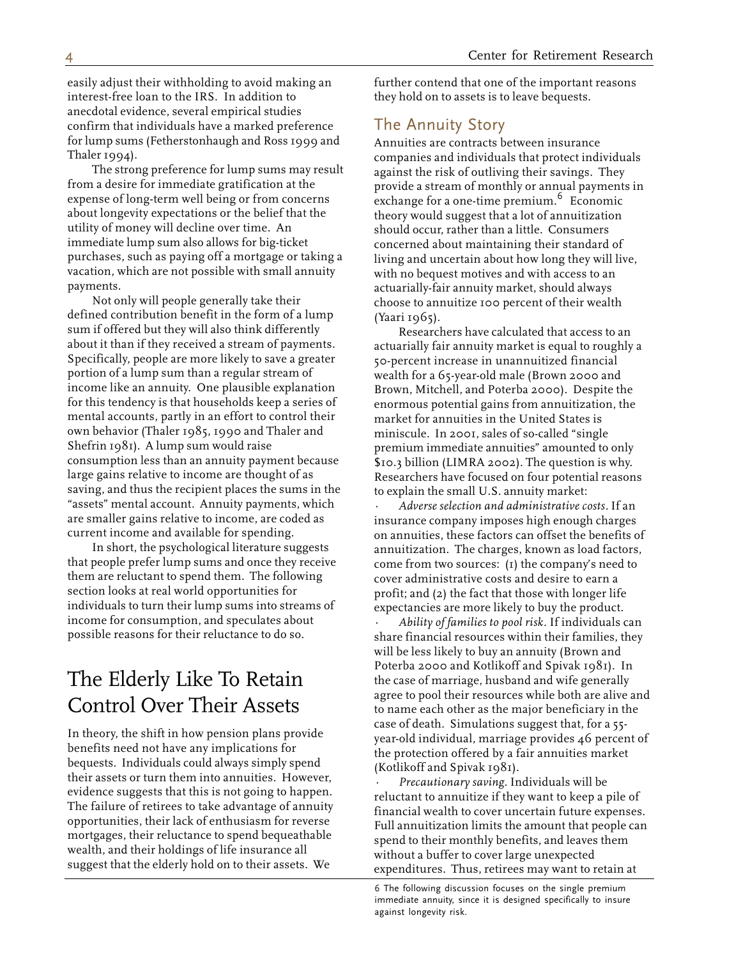easily adjust their withholding to avoid making an interest-free loan to the IRS. In addition to anecdotal evidence, several empirical studies confirm that individuals have a marked preference for lump sums (Fetherstonhaugh and Ross 1999 and Thaler 1994).

The strong preference for lump sums may result from a desire for immediate gratification at the expense of long-term well being or from concerns about longevity expectations or the belief that the utility of money will decline over time. An immediate lump sum also allows for big-ticket purchases, such as paying off a mortgage or taking a vacation, which are not possible with small annuity payments.

Not only will people generally take their defined contribution benefit in the form of a lump sum if offered but they will also think differently about it than if they received a stream of payments. Specifically, people are more likely to save a greater portion of a lump sum than a regular stream of income like an annuity. One plausible explanation for this tendency is that households keep a series of mental accounts, partly in an effort to control their own behavior (Thaler 1985, 1990 and Thaler and Shefrin 1981). A lump sum would raise consumption less than an annuity payment because large gains relative to income are thought of as saving, and thus the recipient places the sums in the "assets" mental account. Annuity payments, which are smaller gains relative to income, are coded as current income and available for spending.

In short, the psychological literature suggests that people prefer lump sums and once they receive them are reluctant to spend them. The following section looks at real world opportunities for individuals to turn their lump sums into streams of income for consumption, and speculates about possible reasons for their reluctance to do so.

# The Elderly Like To Retain Control Over Their Assets

In theory, the shift in how pension plans provide benefits need not have any implications for bequests. Individuals could always simply spend their assets or turn them into annuities. However, evidence suggests that this is not going to happen. The failure of retirees to take advantage of annuity opportunities, their lack of enthusiasm for reverse mortgages, their reluctance to spend bequeathable wealth, and their holdings of life insurance all suggest that the elderly hold on to their assets. We

further contend that one of the important reasons they hold on to assets is to leave bequests.

#### The Annuity Story

Annuities are contracts between insurance companies and individuals that protect individuals against the risk of outliving their savings. They provide a stream of monthly or annual payments in exchange for a one-time premium.  $^6$  Economic theory would suggest that a lot of annuitization should occur, rather than a little. Consumers concerned about maintaining their standard of living and uncertain about how long they will live, with no bequest motives and with access to an actuarially-fair annuity market, should always choose to annuitize 100 percent of their wealth (Yaari 1965).

Researchers have calculated that access to an actuarially fair annuity market is equal to roughly a 50-percent increase in unannuitized financial wealth for a 65-year-old male (Brown 2000 and Brown, Mitchell, and Poterba 2000). Despite the enormous potential gains from annuitization, the market for annuities in the United States is miniscule. In 2001, sales of so-called "single premium immediate annuities" amounted to only \$10.3 billion (LIMRA 2002). The question is why. Researchers have focused on four potential reasons to explain the small U.S. annuity market:

· *Adverse selection and administrative costs.* If an insurance company imposes high enough charges on annuities, these factors can offset the benefits of annuitization. The charges, known as load factors, come from two sources: (1) the company's need to cover administrative costs and desire to earn a profit; and (2) the fact that those with longer life expectancies are more likely to buy the product.

· *Ability of families to pool risk*. If individuals can share financial resources within their families, they will be less likely to buy an annuity (Brown and Poterba 2000 and Kotlikoff and Spivak 1981). In the case of marriage, husband and wife generally agree to pool their resources while both are alive and to name each other as the major beneficiary in the case of death. Simulations suggest that, for a 55 year-old individual, marriage provides 46 percent of the protection offered by a fair annuities market (Kotlikoff and Spivak 1981).

 *Precautionary saving.* Individuals will be reluctant to annuitize if they want to keep a pile of financial wealth to cover uncertain future expenses. Full annuitization limits the amount that people can spend to their monthly benefits, and leaves them without a buffer to cover large unexpected expenditures. Thus, retirees may want to retain at

6 The following discussion focuses on the single premium immediate annuity, since it is designed specifically to insure against longevity risk.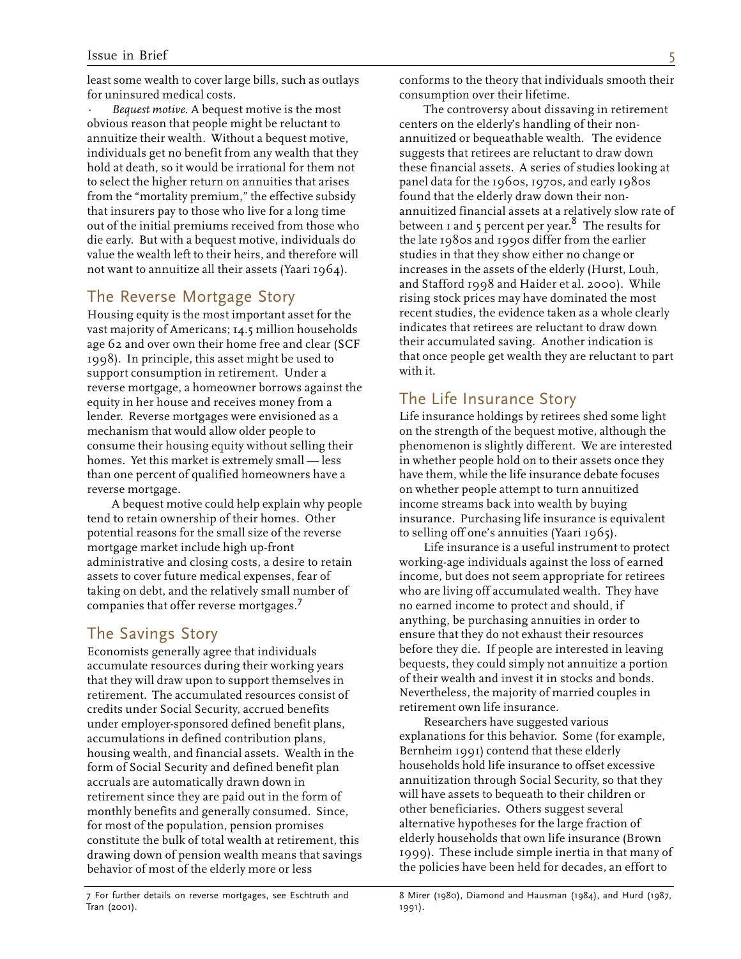least some wealth to cover large bills, such as outlays for uninsured medical costs.

Bequest motive. A bequest motive is the most obvious reason that people might be reluctant to annuitize their wealth. Without a bequest motive, individuals get no benefit from any wealth that they hold at death, so it would be irrational for them not to select the higher return on annuities that arises from the "mortality premium," the effective subsidy that insurers pay to those who live for a long time out of the initial premiums received from those who die early. But with a bequest motive, individuals do value the wealth left to their heirs, and therefore will not want to annuitize all their assets (Yaari 1964).

#### The Reverse Mortgage Story

Housing equity is the most important asset for the vast majority of Americans; 14.5 million households age 62 and over own their home free and clear (SCF 1998). In principle, this asset might be used to support consumption in retirement. Under a reverse mortgage, a homeowner borrows against the equity in her house and receives money from a lender. Reverse mortgages were envisioned as a mechanism that would allow older people to consume their housing equity without selling their homes. Yet this market is extremely small — less than one percent of qualified homeowners have a reverse mortgage.

A bequest motive could help explain why people tend to retain ownership of their homes. Other potential reasons for the small size of the reverse mortgage market include high up-front administrative and closing costs, a desire to retain assets to cover future medical expenses, fear of taking on debt, and the relatively small number of companies that offer reverse mortgages.<sup>7</sup>

#### The Savings Story

Economists generally agree that individuals accumulate resources during their working years that they will draw upon to support themselves in retirement. The accumulated resources consist of credits under Social Security, accrued benefits under employer-sponsored defined benefit plans, accumulations in defined contribution plans, housing wealth, and financial assets. Wealth in the form of Social Security and defined benefit plan accruals are automatically drawn down in retirement since they are paid out in the form of monthly benefits and generally consumed. Since, for most of the population, pension promises constitute the bulk of total wealth at retirement, this drawing down of pension wealth means that savings behavior of most of the elderly more or less

conforms to the theory that individuals smooth their consumption over their lifetime.

w ith it. The controversy about dissaving in retirement centers on the elderly's handling of their nonannuitized or bequeathable wealth. The evidence suggests that retirees are reluctant to draw down these financial assets. A series of studies looking at panel data for the 1960s, 1970s, and early 1980s found that the elderly draw down their nonannuitized financial assets at a relatively slow rate of between 1 and 5 percent per year.<sup>8</sup> The results for the late 1980s and 1990s differ from the earlier studies in that they show either no change or increases in the assets of the elderly (Hurst, Louh, and Stafford 1998 and Haider et al. 2000). While rising stock prices may have dominated the most recent studies, the evidence taken as a whole clearly indicates that retirees are reluctant to draw down their accumulated saving. Another indication is that once people get wealth they are reluctant to part

#### The Life Insurance Story

Life insurance holdings by retirees shed some light on the strength of the bequest motive, although the phenomenon is slightly different. We are interested in whether people hold on to their assets once they have them, while the life insurance debate focuses on whether people attempt to turn annuitized income streams back into wealth by buying insurance. Purchasing life insurance is equivalent to selling off one's annuities (Yaari 1965).

Life insurance is a useful instrument to protect working-age individuals against the loss of earned income, but does not seem appropriate for retirees who are living off accumulated wealth. They have no earned income to protect and should, if anything, be purchasing annuities in order to ensure that they do not exhaust their resources before they die. If people are interested in leaving bequests, they could simply not annuitize a portion of their wealth and invest it in stocks and bonds. Nevertheless, the majority of married couples in retirement own life insurance.

Researchers have suggested various explanations for this behavior. Some (for example, Bernheim 1991) contend that these elderly households hold life insurance to offset excessive annuitization through Social Security, so that they will have assets to bequeath to their children or other beneficiaries. Others suggest several alternative hypotheses for the large fraction of elderly households that own life insurance (Brown 1999). These include simple inertia in that many of the policies have been held for decades, an effort to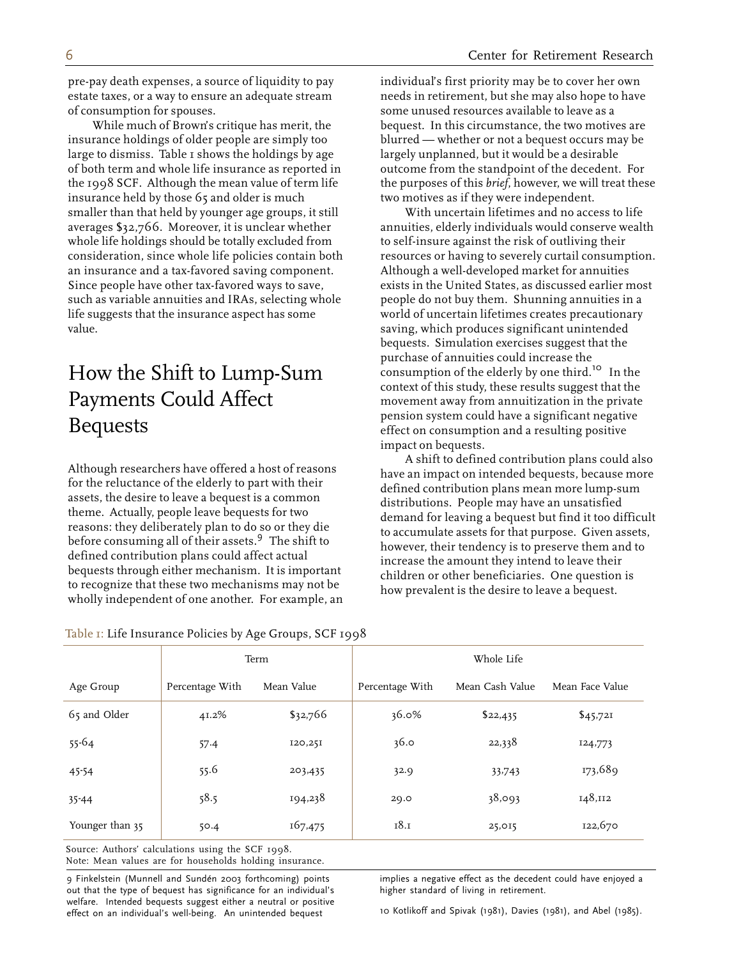pre-pay death expenses, a source of liquidity to pay estate taxes, or a way to ensure an adequate stream of consumption for spouses.

While much of Brown's critique has merit, the insurance holdings of older people are simply too large to dismiss. Table 1 shows the holdings by age of both term and whole life insurance as reported in the 1998 SCF. Although the mean value of term life insurance held by those 65 and older is much smaller than that held by younger age groups, it still averages \$32,766. Moreover, it is unclear whether whole life holdings should be totally excluded from consideration, since whole life policies contain both an insurance and a tax-favored saving component. Since people have other tax-favored ways to save, such as variable annuities and IRAs, selecting whole life suggests that the insurance aspect has some value.

# How the Shift to Lump-Sum Payments Could Affect Bequests

Although researchers have offered a host of reasons for the reluctance of the elderly to part with their assets, the desire to leave a bequest is a common theme. Actually, people leave bequests for two reasons: they deliberately plan to do so or they die before consuming all of their assets. $9$  The shift to defined contribution plans could affect actual bequests through either mechanism. It is important to recognize that these two mechanisms may not be wholly independent of one another. For example, an individual's first priority may be to cover her own needs in retirement, but she may also hope to have some unused resources available to leave as a bequest. In this circumstance, the two motives are blurred — whether or not a bequest occurs may be largely unplanned, but it would be a desirable outcome from the standpoint of the decedent. For the purposes of this *brief*, however, we will treat these two motives as if they were independent.

With uncertain lifetimes and no access to life annuities, elderly individuals would conserve wealth to self-insure against the risk of outliving their resources or having to severely curtail consumption. Although a well-developed market for annuities exists in the United States, as discussed earlier most people do not buy them. Shunning annuities in a world of uncertain lifetimes creates precautionary saving, which produces significant unintended bequests. Simulation exercises suggest that the purchase of annuities could increase the<br>consumption of the elderly by one third.<sup>10</sup> In the context of this study, these results suggest that the movement away from annuitization in the private pension system could have a significant negative effect on consumption and a resulting positive impact on bequests.

A shift to defined contribution plans could also have an impact on intended bequests, because more defined contribution plans mean more lump-sum distributions. People may have an unsatisfied demand for leaving a bequest but find it too difficult to accumulate assets for that purpose. Given assets, however, their tendency is to preserve them and to increase the amount they intend to leave their children or other beneficiaries. One question is how prevalent is the desire to leave a bequest.

|                 | Term            |            | Whole Life      |                 |                 |
|-----------------|-----------------|------------|-----------------|-----------------|-----------------|
| Age Group       | Percentage With | Mean Value | Percentage With | Mean Cash Value | Mean Face Value |
| 65 and Older    | 41.2%           | \$32,766   | 36.0%           | \$22,435        | \$45,721        |
| $55 - 64$       | 57.4            | 120,251    | 36.0            | 22,338          | 124,773         |
| 45-54           | 55.6            | 203,435    | 32.9            | 33,743          | 173,689         |
| $35 - 44$       | 58.5            | 194,238    | 29.0            | 38,093          | 148,112         |
| Younger than 35 | 50.4            | 167,475    | 18.1            | 25,015          | 122,670         |

Source: Authors' calculations using the SCF 1998.

Note: Mean values are for households holding insurance.

out that the type of bequest has significance for an individual's higher standard of living in retirement. welfare. Intended bequests suggest either a neutral or positive 10 Kotlikoff and Spivak (1981), Davies (1981), and Abel (1985).<br>effect on an individual's well-being. An unintended bequest 10 Kotlikoff and Spivak (1981), Da

9 Finkelstein (Munnell and Sundén 2003 forthcoming) points implies a negative effect as the decedent could have enjoyed a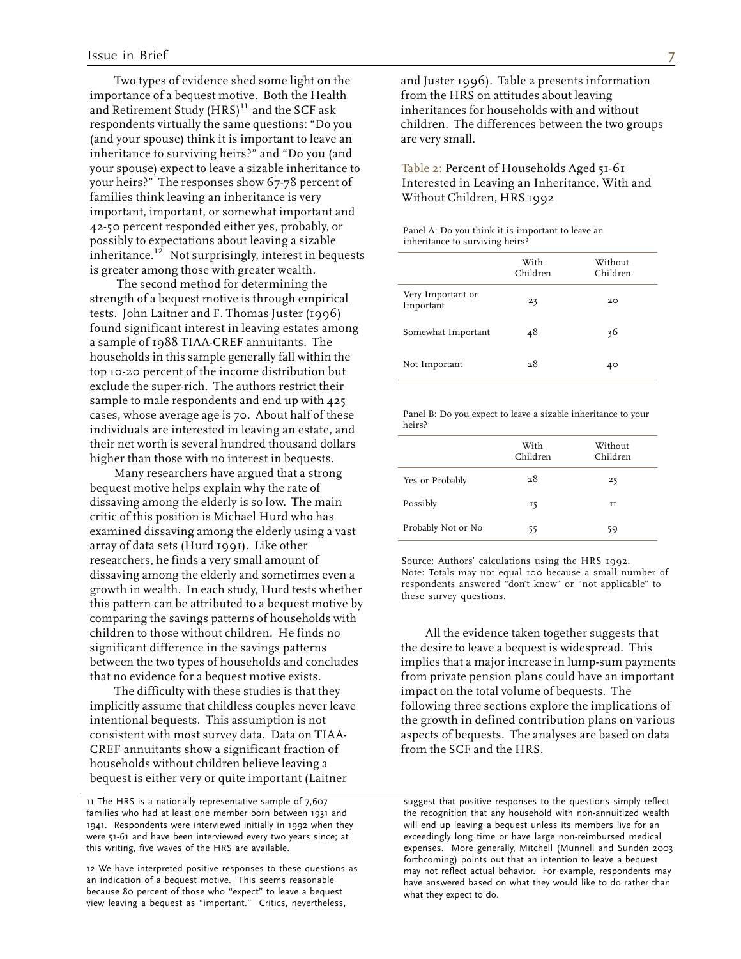Two types of evidence shed some light on the importance of a bequest motive. Both the Health and Retirement Study  $(HRS)^{11}$  and the SCF ask respondents virtually the same questions: "Do you (and your spouse) think it is important to leave an inheritance to surviving heirs?" and "Do you (and your spouse) expect to leave a sizable inheritance to your heirs?" The responses show 67-78 percent of families think leaving an inheritance is very important, important, or somewhat important and 42-50 percent responded either yes, probably, or possibly to expectations about leaving a sizable<br>inheritance.<sup>12</sup> Not surprisingly, interest in bequests is greater among those with greater wealth.

 The second method for determining the strength of a bequest motive is through empirical tests. John Laitner and F. Thomas Juster (1996) found significant interest in leaving estates among a sample of 1988 TIAA-CREF annuitants. The households in this sample generally fall within the top 10-20 percent of the income distribution but exclude the super-rich. The authors restrict their sample to male respondents and end up with 425 cases, whose average age is 70. About half of these individuals are interested in leaving an estate, and their net worth is several hundred thousand dollars higher than those with no interest in bequests.

Many researchers have argued that a strong bequest motive helps explain why the rate of dissaving among the elderly is so low. The main critic of this position is Michael Hurd who has examined dissaving among the elderly using a vast array of data sets (Hurd 1991). Like other researchers, he finds a very small amount of dissaving among the elderly and sometimes even a growth in wealth. In each study, Hurd tests whether this pattern can be attributed to a bequest motive by comparing the savings patterns of households with children to those without children. He finds no significant difference in the savings patterns between the two types of households and concludes that no evidence for a bequest motive exists.

The difficulty with these studies is that they implicitly assume that childless couples never leave intentional bequests. This assumption is not consistent with most survey data. Data on TIAA-CREF annuitants show a significant fraction of households without children believe leaving a bequest is either very or quite important (Laitner

and Juster 1996). Table 2 presents information from the HRS on attitudes about leaving inheritances for households with and without children. The differences between the two groups are very small.

Table 2: Percent of Households Aged 51-61 Interested in Leaving an Inheritance, With and Without Children, HRS 1992

| Panel A: Do you think it is important to leave an |  |
|---------------------------------------------------|--|
| inheritance to surviving heirs?                   |  |

|                                | With<br>Children | Without<br>Children |
|--------------------------------|------------------|---------------------|
| Very Important or<br>Important | 23               | 2O                  |
| Somewhat Important             | 48               | 36                  |
| Not Important                  | 28               | 40                  |

| Panel B: Do you expect to leave a sizable inheritance to your |  |
|---------------------------------------------------------------|--|
| heirs?                                                        |  |

|                    | With<br>Children | Without<br>Children |
|--------------------|------------------|---------------------|
| Yes or Probably    | 28               | 25                  |
| Possibly           | 15               | п                   |
| Probably Not or No | 55               | 59                  |

Source: Authors' calculations using the HRS 1992. Note: Totals may not equal 100 because a small number of respondents answered "don't know" or "not applicable" to these survey questions.

All the evidence taken together suggests that the desire to leave a bequest is widespread. This implies that a major increase in lump-sum payments from private pension plans could have an important impact on the total volume of bequests. The following three sections explore the implications of the growth in defined contribution plans on various aspects of bequests. The analyses are based on data from the SCF and the HRS.

11 The HRS is a nationally representative sample of 7,607 suggest that positive responses to the questions simply reflect families who had at least one member born between 1931 and the recognition that any household with non-annuitized wealth expenses. More generally, Mitchell (Munnell and Sundén 2003<br>forthcoming) points out that an intention to leave a bequest

<sup>1941.</sup> Respondents were interviewed initially in 1992 when they will end up leaving a bequest unless its members live for an were 51-61 and have been interviewed every two years since; at exceedingly long time or have large non-reimbursed medical<br>this writing, five waves of the HRS are available. expenses are expenses. More generally, Mitchell (

<sup>12</sup> We have interpreted positive responses to these questions as forthcoming) points out that an intention to leave a bequest may not reflect actual behavior. For example, respondents may have answered based on what they wo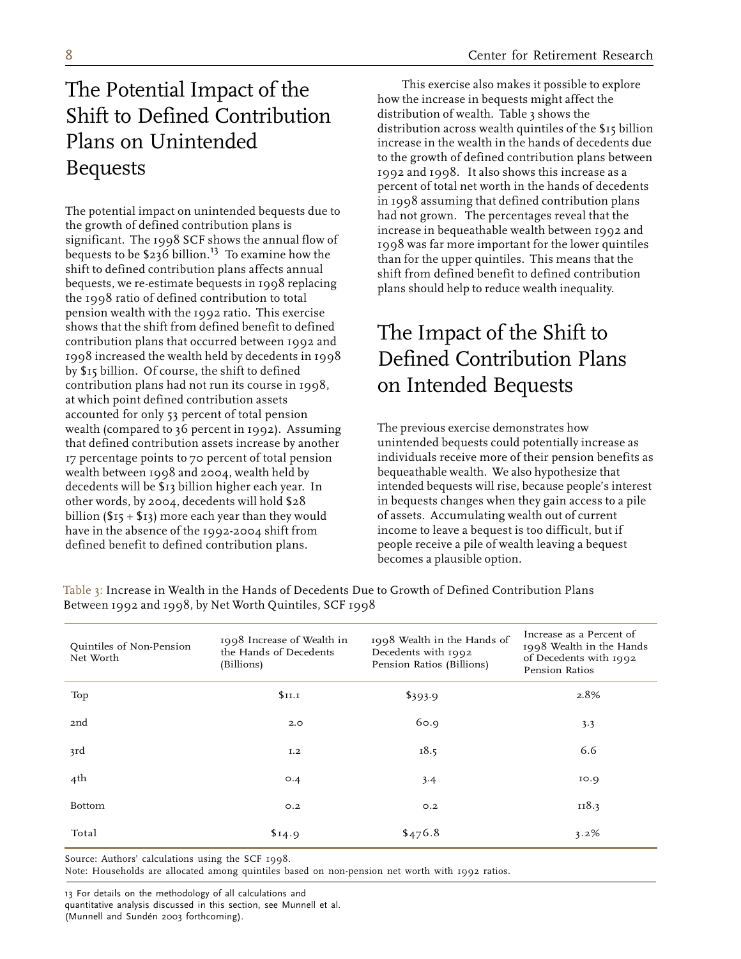# The Potential Impact of the Shift to Defined Contribution Plans on Unintended Bequests

The potential impact on unintended bequests due to the growth of defined contribution plans is significant. The 1998 SCF shows the annual flow of bequests to be  $$236$  billion.<sup>13</sup> To examine how the shift to defined contribution plans affects annual bequests, we re-estimate bequests in 1998 replacing the 1998 ratio of defined contribution to total pension wealth with the 1992 ratio. This exercise shows that the shift from defined benefit to defined contribution plans that occurred between 1992 and 1998 increased the wealth held by decedents in 1998 by \$15 billion. Of course, the shift to defined contribution plans had not run its course in 1998, at which point defined contribution assets accounted for only 53 percent of total pension wealth (compared to 36 percent in 1992). Assuming that defined contribution assets increase by another 17 percentage points to 70 percent of total pension wealth between 1998 and 2004, wealth held by decedents will be \$13 billion higher each year. In other words, by 2004, decedents will hold \$28 billion  $(\$15 + \$13)$  more each year than they would have in the absence of the 1992-2004 shift from defined benefit to defined contribution plans.

This exercise also makes it possible to explore how the increase in bequests might affect the distribution of wealth. Table 3 shows the distribution across wealth quintiles of the \$15 billion increase in the wealth in the hands of decedents due to the growth of defined contribution plans between 1992 and 1998. It also shows this increase as a percent of total net worth in the hands of decedents in 1998 assuming that defined contribution plans had not grown. The percentages reveal that the increase in bequeathable wealth between 1992 and 1998 was far more important for the lower quintiles than for the upper quintiles. This means that the shift from defined benefit to defined contribution plans should help to reduce wealth inequality.

# The Impact of the Shift to Defined Contribution Plans on Intended Bequests

The previous exercise demonstrates how unintended bequests could potentially increase as individuals receive more of their pension benefits as bequeathable wealth. We also hypothesize that intended bequests will rise, because people's interest in bequests changes when they gain access to a pile of assets. Accumulating wealth out of current income to leave a bequest is too difficult, but if people receive a pile of wealth leaving a bequest becomes a plausible option.

| Quintiles of Non-Pension<br>Net Worth | 1998 Increase of Wealth in<br>the Hands of Decedents<br>(Billions) | 1998 Wealth in the Hands of<br>Decedents with 1992<br>Pension Ratios (Billions) | Increase as a Percent of<br>1998 Wealth in the Hands<br>of Decedents with 1992<br>Pension Ratios |
|---------------------------------------|--------------------------------------------------------------------|---------------------------------------------------------------------------------|--------------------------------------------------------------------------------------------------|
| Top                                   | \$II.I                                                             | \$393.9                                                                         | 2.8%                                                                                             |
| <sub>2</sub> nd                       | 2.0                                                                | 60.9                                                                            | 3.3                                                                                              |
| 3rd                                   | I.2                                                                | 18.5                                                                            | 6.6                                                                                              |
| 4th                                   | O.4                                                                | $3-4$                                                                           | IO.9                                                                                             |
| <b>Bottom</b>                         | O.2                                                                | O.2                                                                             | II8.3                                                                                            |
| Total                                 | \$14.9                                                             | \$476.8                                                                         | 3.2%                                                                                             |

Table 3: Increase in Wealth in the Hands of Decedents Due to Growth of Defined Contribution Plans Between 1992 and 1998, by Net Worth Quintiles, SCF 1998

Source: Authors' calculations using the SCF 1998.

Note: Households are allocated among quintiles based on non-pension net worth with 1992 ratios.

13 For details on the methodology of all calculations and quantitative analysis discussed in this section, see Munnell et al. (Munnell and Sundén 2003 forthcoming).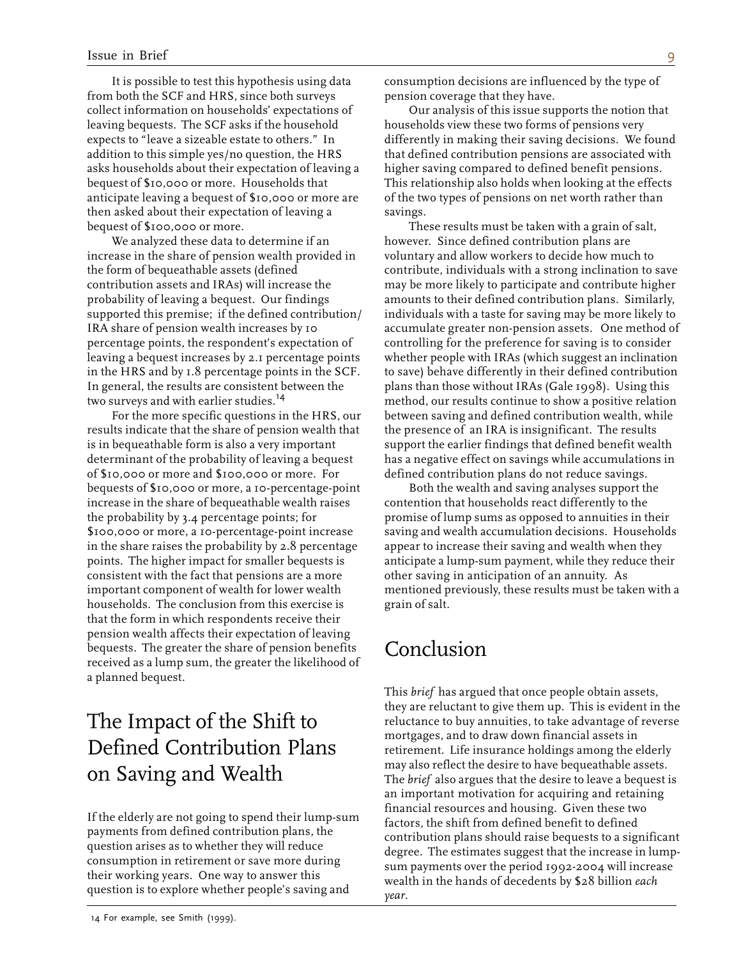It is possible to test this hypothesis using data from both the SCF and HRS, since both surveys collect information on households' expectations of leaving bequests. The SCF asks if the household expects to "leave a sizeable estate to others." In addition to this simple yes/no question, the HRS asks households about their expectation of leaving a bequest of \$10,000 or more. Households that anticipate leaving a bequest of \$10,000 or more are then asked about their expectation of leaving a bequest of \$100,000 or more.

We analyzed these data to determine if an increase in the share of pension wealth provided in the form of bequeathable assets (defined contribution assets and IRAs) will increase the probability of leaving a bequest. Our findings supported this premise; if the defined contribution/ IRA share of pension wealth increases by 10 percentage points, the respondent's expectation of leaving a bequest increases by 2.1 percentage points in the HRS and by 1.8 percentage points in the SCF. In general, the results are consistent between the two surveys and with earlier studies.<sup>14</sup>

For the more specific questions in the HRS, our results indicate that the share of pension wealth that is in bequeathable form is also a very important determinant of the probability of leaving a bequest of \$10,000 or more and \$100,000 or more. For bequests of \$10,000 or more, a 10-percentage-point increase in the share of bequeathable wealth raises the probability by 3.4 percentage points; for \$100,000 or more, a 10-percentage-point increase in the share raises the probability by 2.8 percentage points. The higher impact for smaller bequests is consistent with the fact that pensions are a more important component of wealth for lower wealth households. The conclusion from this exercise is that the form in which respondents receive their pension wealth affects their expectation of leaving bequests. The greater the share of pension benefits received as a lump sum, the greater the likelihood of a planned bequest.

# The Impact of the Shift to Defined Contribution Plans on Saving and Wealth

If the elderly are not going to spend their lump-sum payments from defined contribution plans, the question arises as to whether they will reduce consumption in retirement or save more during their working years. One way to answer this question is to explore whether people's saving and

consumption decisions are influenced by the type of pension coverage that they have.

Our analysis of this issue supports the notion that households view these two forms of pensions very differently in making their saving decisions. We found that defined contribution pensions are associated with higher saving compared to defined benefit pensions. This relationship also holds when looking at the effects of the two types of pensions on net worth rather than savings.

These results must be taken with a grain of salt, however. Since defined contribution plans are voluntary and allow workers to decide how much to contribute, individuals with a strong inclination to save may be more likely to participate and contribute higher amounts to their defined contribution plans. Similarly, individuals with a taste for saving may be more likely to accumulate greater non-pension assets. One method of controlling for the preference for saving is to consider whether people with IRAs (which suggest an inclination to save) behave differently in their defined contribution plans than those without IRAs (Gale 1998). Using this method, our results continue to show a positive relation between saving and defined contribution wealth, while the presence of an IRA is insignificant. The results support the earlier findings that defined benefit wealth has a negative effect on savings while accumulations in defined contribution plans do not reduce savings.

Both the wealth and saving analyses support the contention that households react differently to the promise of lump sums as opposed to annuities in their saving and wealth accumulation decisions. Households appear to increase their saving and wealth when they anticipate a lump-sum payment, while they reduce their other saving in anticipation of an annuity. As mentioned previously, these results must be taken with a grain of salt.

## Conclusion

This *brief* has argued that once people obtain assets, they are reluctant to give them up. This is evident in the reluctance to buy annuities, to take advantage of reverse mortgages, and to draw down financial assets in retirement. Life insurance holdings among the elderly may also reflect the desire to have bequeathable assets. The *brief* also argues that the desire to leave a bequest is an important motivation for acquiring and retaining financial resources and housing. Given these two factors, the shift from defined benefit to defined contribution plans should raise bequests to a significant degree. The estimates suggest that the increase in lumpsum payments over the period 1992-2004 will increase wealth in the hands of decedents by \$28 billion *each year*.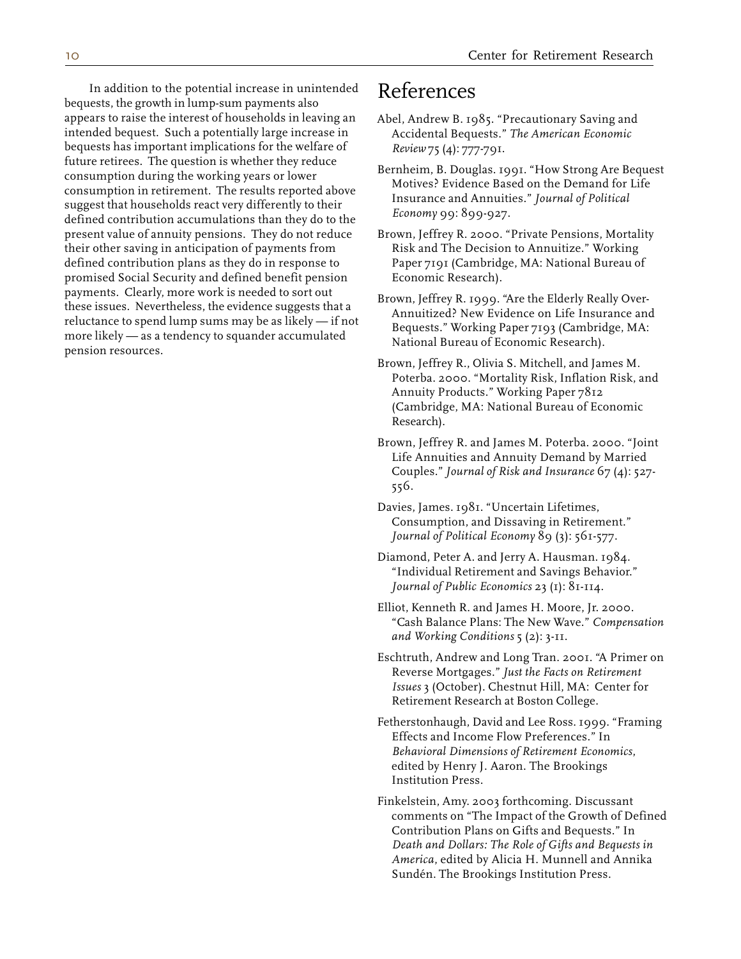In addition to the potential increase in unintended bequests, the growth in lump-sum payments also appears to raise the interest of households in leaving an intended bequest. Such a potentially large increase in bequests has important implications for the welfare of future retirees. The question is whether they reduce consumption during the working years or lower consumption in retirement. The results reported above suggest that households react very differently to their defined contribution accumulations than they do to the present value of annuity pensions. They do not reduce their other saving in anticipation of payments from defined contribution plans as they do in response to promised Social Security and defined benefit pension payments. Clearly, more work is needed to sort out these issues. Nevertheless, the evidence suggests that a reluctance to spend lump sums may be as likely — if not more likely — as a tendency to squander accumulated pension resources.

#### References

- Abel, Andrew B. 1985. "Precautionary Saving and Accidental Bequests." *The American Economic Review* 75 (4): 777-791.
- Bernheim, B. Douglas. 1991. "How Strong Are Bequest Motives? Evidence Based on the Demand for Life Insurance and Annuities." *Journal of Political Economy* 99: 899-927.
- Brown, Jeffrey R. 2000. "Private Pensions, Mortality Risk and The Decision to Annuitize." Working Paper 7191 (Cambridge, MA: National Bureau of Economic Research).
- Brown, Jeffrey R. 1999. "Are the Elderly Really Over-Annuitized? New Evidence on Life Insurance and Bequests." Working Paper 7193 (Cambridge, MA: National Bureau of Economic Research).
- Brown, Jeffrey R., Olivia S. Mitchell, and James M. Poterba. 2000. "Mortality Risk, Inflation Risk, and Annuity Products." Working Paper 7812 (Cambridge, MA: National Bureau of Economic Research).
- Brown, Jeffrey R. and James M. Poterba. 2000. "Joint Life Annuities and Annuity Demand by Married Couples." *Journal of Risk and Insurance* 67 (4): 527- 556.
- Davies, James. 1981. "Uncertain Lifetimes, Consumption, and Dissaving in Retirement." *Journal of Political Economy* 89 (3): 561-577.
- Diamond, Peter A. and Jerry A. Hausman. 1984. "Individual Retirement and Savings Behavior." *Journal of Public Economics* 23 (1): 81-114.
- Elliot, Kenneth R. and James H. Moore, Jr. 2000. "Cash Balance Plans: The New Wave." *Compensation and Working Conditions* 5 (2): 3-11.
- Eschtruth, Andrew and Long Tran. 2001. "A Primer on Reverse Mortgages." *Just the Facts on Retirement Issues* 3 (October). Chestnut Hill, MA: Center for Retirement Research at Boston College.
- Fetherstonhaugh, David and Lee Ross. 1999. "Framing Effects and Income Flow Preferences." In *Behavioral Dimensions of Retirement Economics*, edited by Henry J. Aaron. The Brookings Institution Press.
- Finkelstein, Amy. 2003 forthcoming. Discussant comments on "The Impact of the Growth of Defined Contribution Plans on Gifts and Bequests." In *Death and Dollars: The Role of Gifts and Bequests in America*, edited by Alicia H. Munnell and Annika Sundén. The Brookings Institution Press.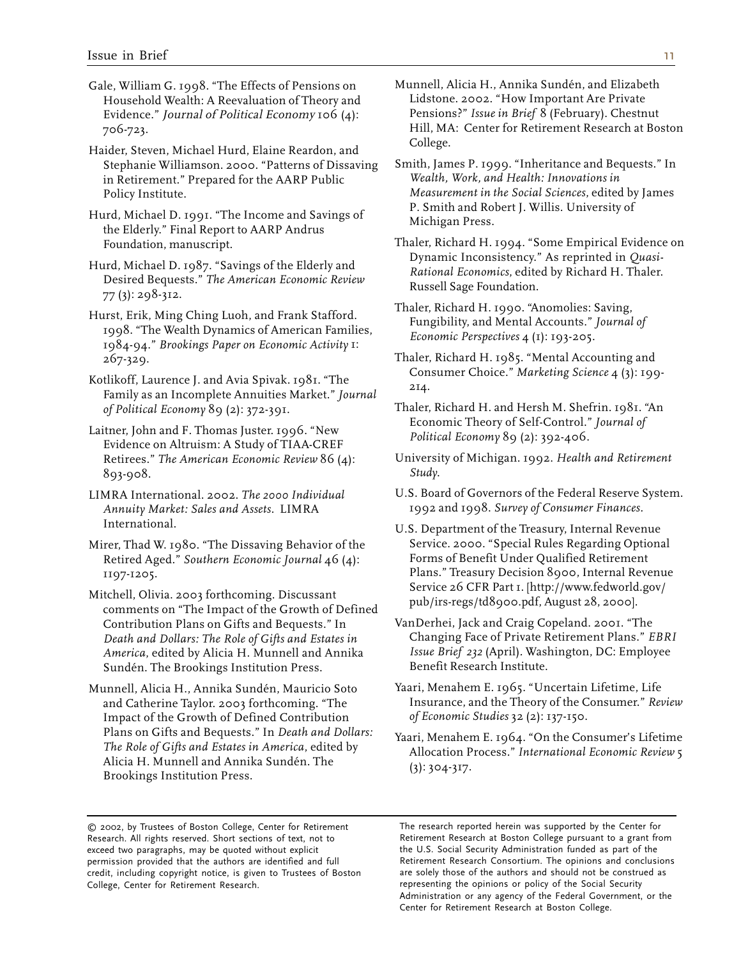Evidence." *Journal of Political Economy* 106 (4):

Haider, Steven, Michael Hurd, Elaine Reardon, and<br>Stephanie Williamson. 2000. "Patterns of Dissaving Smith, James P. 1999. "Inheritance and Bequests." In Stephanie Williamson. 2000. "Patterns of Dissaving Smith, James P. 1999. "Inheritance and Bequest in Retirement." Prepared for the AARP Public Wealth, Work, and Health: Innovations in in Retirement." Prepared for the AARP Public

P. B. Hurd, Michael D. 1991. "The Income and Savings of Michigan Press.<br>the Elderly." Final Report to AARP Andrus

Hurd, Michael D. 1987. "Savings of the Elderly and<br>Desired Bequests." The American Economic Review Rational Economics, edited by Richard H. Thaler.<br>77 (3): 298-312.

Hurst, Erik, Ming Ching Luoh, and Frank Stafford. Thaler, Richard H. 1990. "Anomolies: Saving,<br>1998. "The Wealth Dynamics of American Families, Fungibility, and Mental Accounts." Journal of<br>1984-94." Brookings Paper on Eco

Consumer Choice." *Marketing Science* 4 (3): 199- Kotlikoff, Laurence J. and Avia Spivak. 1981. "The 214. Family as an Incomplete Annuities Market." *Journal*

Economic Theory of Self-Control." *Journal of* Laitner, John and F. Thomas Juster. 1996. "New *Political Economy* 89 (2): 392-406. Evidence on Altruism: A Study of TIAA-CREF 893-908. *Study*.

Retired Aged." *Southern Economic Journal* 46 (4): Forms of Benefit Under Qualified Retirement

Contribution Plans on Gifts and Bequests." In VanDerhei, Jack and Craig Copeland. 2001. "The Sundén. The Brookings Institution Press.

and Catherine Taylor. 2003 forthcoming. "The Impact of the Growth of Defined Contribution *of Economic Studies* 32 (2): 137-150. Plans on Gifts and Bequests." In Death and Dollars: Yaari, Menahem E. 1964. "On the Consumer's Lifetime The Role of Gifts and Estates in America, edited by Allocation Process." International Economic Review 5<br>Alicia H. Mun

Gale, William G. 1998. "The Effects of Pensions on Munnell, Alicia H., Annika Sundén, and Elizabeth<br>Household Wealth: A Reevaluation of Theory and Lidstone. 2002. "How Important Are Private Household Wealth: A Reevaluation of Theory and Lidstone. 2002. "How Important Are Private<br>Evidence." *Iournal of Political Economy* 106 (4): Pensions?" *Issue in Brief* 8 (February). Chestnut 706-723. Hill, MA: Center for Retirement Research at Boston

Policy Institute.<br> *Measurement in the Social Sciences*, edited by James<br> **P. Smith and Robert J. Willis. University of** 

Foundation, manuscript. Thaler, Richard H. 1994. "Some Empirical Evidence on

267-329.<br>
Thaler, Richard H. 1985. "Mental Accounting and<br>
Consumer Choice." Marketing Science 4 (3): 199-

*of Political Economy* 89 (2): 372-391. Thaler, Richard H. and Hersh M. Shefrin. 1981. "An Economic Theory of Self-Control." *Journal of* 

Retirees." *The American Economic Review* 86 (4): University of Michigan. 1992. *Health and Retirement*

LIMRA International. 2002. *The 2000 Individual* U.S. Board of Governors of the Federal Reserve System. *Annuity Market: Sales and Assets.* LIMRA 1992 and 1998. *Survey of Consumer Finances.*

International. U.S. Department of the Treasury, Internal Revenue Mirer, Thad W. 1980. "The Dissaving Behavior of the Service. 2000. "Special Rules Regarding Optional 1197-1205. Plans." Treasury Decision 8900, Internal Revenue Service 26 CFR Part 1. [http://www.fedworld.gov/ Mitchell, Olivia. 2003 forthcoming. Discussant pub/irs-regs/td8900.pdf, August 28, 2000]. comments on "The Impact of the Growth of Defined

*Death and Dollars: The Role of Gifts and Estates in* Changing Face of Private Retirement Plans." *EBRI America*, edited by Alicia H. Munnell and Annika *Issue Brief 232* (April). Washington, DC: Employee

Munnell, Alicia H., Annika Sundén, Mauricio Soto Yaari, Menahem E. 1965. "Uncertain Lifetime, Life

Research. All rights reserved. Short sections of text, not to exceed two paragraphs, may be quoted without explicit the U.S. Social Security Administration funded as part of the credit, including copyright notice, is given to Trustees of Boston

© 2002, by Trustees of Boston College, Center for Retirement The research reported herein was supported by the Center for permission provided that the authors are identified and full **Retirement Research Consortium.** The opinions and conclusions<br>Credit, including copyright notice, is given to Trustees of Boston are solely those of the authors College, Center for Retirement Research. The Social Security of the Social Security of the Social Security Administration or any agency of the Federal Government, or the Center for Retirement Research at Boston College.